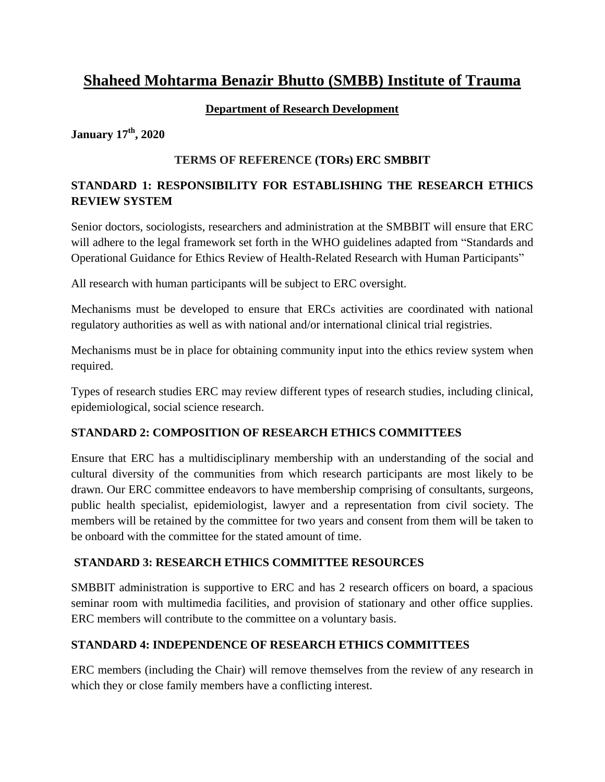# **Shaheed Mohtarma Benazir Bhutto (SMBB) Institute of Trauma**

## **Department of Research Development**

**January 17th, 2020**

## **TERMS OF REFERENCE (TORs) ERC SMBBIT**

# **STANDARD 1: RESPONSIBILITY FOR ESTABLISHING THE RESEARCH ETHICS REVIEW SYSTEM**

Senior doctors, sociologists, researchers and administration at the SMBBIT will ensure that ERC will adhere to the legal framework set forth in the WHO guidelines adapted from "Standards and Operational Guidance for Ethics Review of Health-Related Research with Human Participants"

All research with human participants will be subject to ERC oversight.

Mechanisms must be developed to ensure that ERCs activities are coordinated with national regulatory authorities as well as with national and/or international clinical trial registries.

Mechanisms must be in place for obtaining community input into the ethics review system when required.

Types of research studies ERC may review different types of research studies, including clinical, epidemiological, social science research.

## **STANDARD 2: COMPOSITION OF RESEARCH ETHICS COMMITTEES**

Ensure that ERC has a multidisciplinary membership with an understanding of the social and cultural diversity of the communities from which research participants are most likely to be drawn. Our ERC committee endeavors to have membership comprising of consultants, surgeons, public health specialist, epidemiologist, lawyer and a representation from civil society. The members will be retained by the committee for two years and consent from them will be taken to be onboard with the committee for the stated amount of time.

## **STANDARD 3: RESEARCH ETHICS COMMITTEE RESOURCES**

SMBBIT administration is supportive to ERC and has 2 research officers on board, a spacious seminar room with multimedia facilities, and provision of stationary and other office supplies. ERC members will contribute to the committee on a voluntary basis.

## **STANDARD 4: INDEPENDENCE OF RESEARCH ETHICS COMMITTEES**

ERC members (including the Chair) will remove themselves from the review of any research in which they or close family members have a conflicting interest.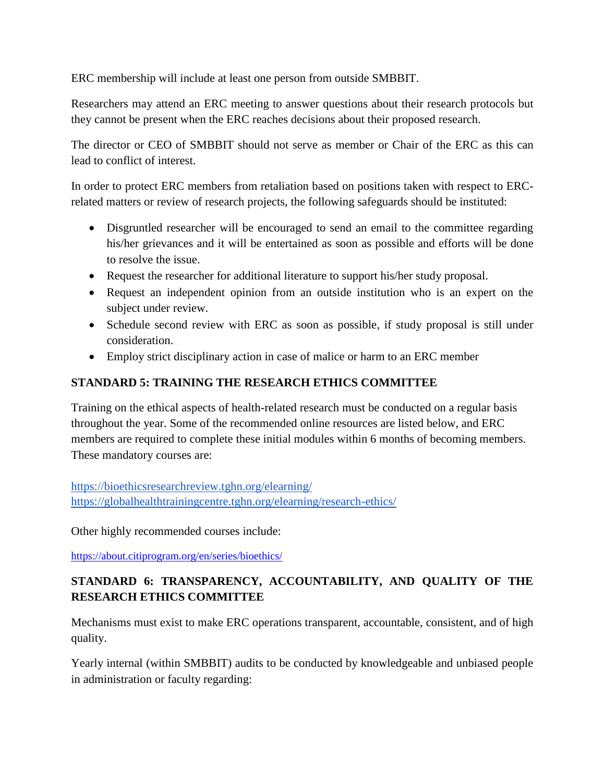ERC membership will include at least one person from outside SMBBIT.

Researchers may attend an ERC meeting to answer questions about their research protocols but they cannot be present when the ERC reaches decisions about their proposed research.

The director or CEO of SMBBIT should not serve as member or Chair of the ERC as this can lead to conflict of interest.

In order to protect ERC members from retaliation based on positions taken with respect to ERCrelated matters or review of research projects, the following safeguards should be instituted:

- Disgruntled researcher will be encouraged to send an email to the committee regarding his/her grievances and it will be entertained as soon as possible and efforts will be done to resolve the issue.
- Request the researcher for additional literature to support his/her study proposal.
- Request an independent opinion from an outside institution who is an expert on the subject under review.
- Schedule second review with ERC as soon as possible, if study proposal is still under consideration.
- Employ strict disciplinary action in case of malice or harm to an ERC member

# **STANDARD 5: TRAINING THE RESEARCH ETHICS COMMITTEE**

Training on the ethical aspects of health-related research must be conducted on a regular basis throughout the year. Some of the recommended online resources are listed below, and ERC members are required to complete these initial modules within 6 months of becoming members. These mandatory courses are:

<https://bioethicsresearchreview.tghn.org/elearning/> <https://globalhealthtrainingcentre.tghn.org/elearning/research-ethics/>

Other highly recommended courses include:

<https://about.citiprogram.org/en/series/bioethics/>

# **STANDARD 6: TRANSPARENCY, ACCOUNTABILITY, AND QUALITY OF THE RESEARCH ETHICS COMMITTEE**

Mechanisms must exist to make ERC operations transparent, accountable, consistent, and of high quality.

Yearly internal (within SMBBIT) audits to be conducted by knowledgeable and unbiased people in administration or faculty regarding: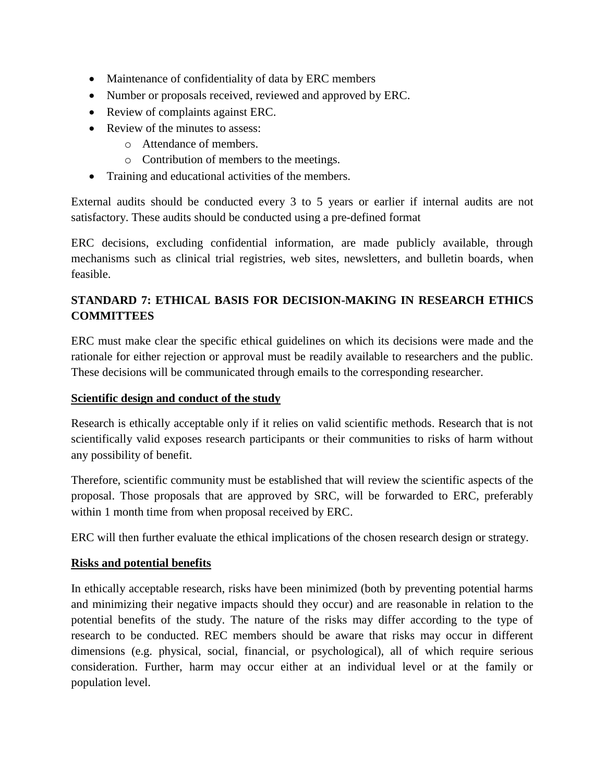- Maintenance of confidentiality of data by ERC members
- Number or proposals received, reviewed and approved by ERC.
- Review of complaints against ERC.
- Review of the minutes to assess:
	- o Attendance of members.
	- o Contribution of members to the meetings.
- Training and educational activities of the members.

External audits should be conducted every 3 to 5 years or earlier if internal audits are not satisfactory. These audits should be conducted using a pre-defined format

ERC decisions, excluding confidential information, are made publicly available, through mechanisms such as clinical trial registries, web sites, newsletters, and bulletin boards, when feasible.

# **STANDARD 7: ETHICAL BASIS FOR DECISION-MAKING IN RESEARCH ETHICS COMMITTEES**

ERC must make clear the specific ethical guidelines on which its decisions were made and the rationale for either rejection or approval must be readily available to researchers and the public. These decisions will be communicated through emails to the corresponding researcher.

## **Scientific design and conduct of the study**

Research is ethically acceptable only if it relies on valid scientific methods. Research that is not scientifically valid exposes research participants or their communities to risks of harm without any possibility of benefit.

Therefore, scientific community must be established that will review the scientific aspects of the proposal. Those proposals that are approved by SRC, will be forwarded to ERC, preferably within 1 month time from when proposal received by ERC.

ERC will then further evaluate the ethical implications of the chosen research design or strategy.

## **Risks and potential benefits**

In ethically acceptable research, risks have been minimized (both by preventing potential harms and minimizing their negative impacts should they occur) and are reasonable in relation to the potential benefits of the study. The nature of the risks may differ according to the type of research to be conducted. REC members should be aware that risks may occur in different dimensions (e.g. physical, social, financial, or psychological), all of which require serious consideration. Further, harm may occur either at an individual level or at the family or population level.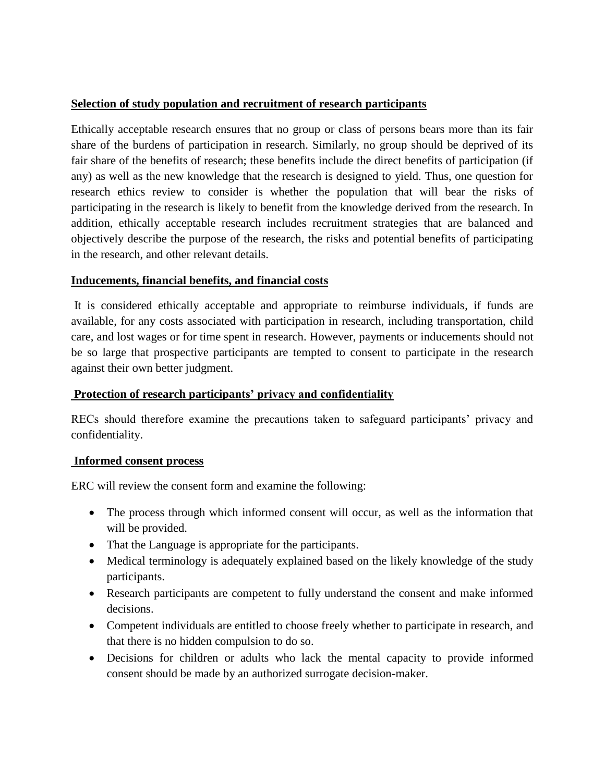#### **Selection of study population and recruitment of research participants**

Ethically acceptable research ensures that no group or class of persons bears more than its fair share of the burdens of participation in research. Similarly, no group should be deprived of its fair share of the benefits of research; these benefits include the direct benefits of participation (if any) as well as the new knowledge that the research is designed to yield. Thus, one question for research ethics review to consider is whether the population that will bear the risks of participating in the research is likely to benefit from the knowledge derived from the research. In addition, ethically acceptable research includes recruitment strategies that are balanced and objectively describe the purpose of the research, the risks and potential benefits of participating in the research, and other relevant details.

#### **Inducements, financial benefits, and financial costs**

It is considered ethically acceptable and appropriate to reimburse individuals, if funds are available, for any costs associated with participation in research, including transportation, child care, and lost wages or for time spent in research. However, payments or inducements should not be so large that prospective participants are tempted to consent to participate in the research against their own better judgment.

## **Protection of research participants' privacy and confidentiality**

RECs should therefore examine the precautions taken to safeguard participants' privacy and confidentiality.

## **Informed consent process**

ERC will review the consent form and examine the following:

- The process through which informed consent will occur, as well as the information that will be provided.
- That the Language is appropriate for the participants.
- Medical terminology is adequately explained based on the likely knowledge of the study participants.
- Research participants are competent to fully understand the consent and make informed decisions.
- Competent individuals are entitled to choose freely whether to participate in research, and that there is no hidden compulsion to do so.
- Decisions for children or adults who lack the mental capacity to provide informed consent should be made by an authorized surrogate decision-maker.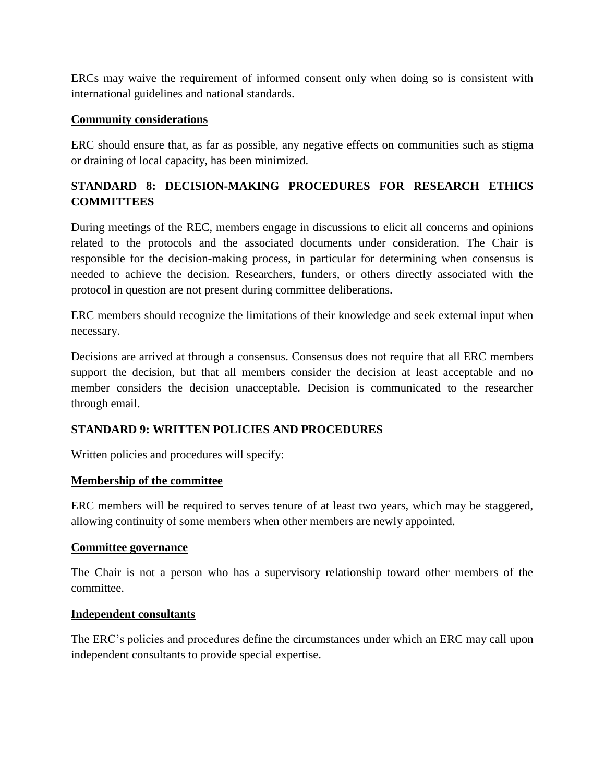ERCs may waive the requirement of informed consent only when doing so is consistent with international guidelines and national standards.

#### **Community considerations**

ERC should ensure that, as far as possible, any negative effects on communities such as stigma or draining of local capacity, has been minimized.

# **STANDARD 8: DECISION-MAKING PROCEDURES FOR RESEARCH ETHICS COMMITTEES**

During meetings of the REC, members engage in discussions to elicit all concerns and opinions related to the protocols and the associated documents under consideration. The Chair is responsible for the decision-making process, in particular for determining when consensus is needed to achieve the decision. Researchers, funders, or others directly associated with the protocol in question are not present during committee deliberations.

ERC members should recognize the limitations of their knowledge and seek external input when necessary.

Decisions are arrived at through a consensus. Consensus does not require that all ERC members support the decision, but that all members consider the decision at least acceptable and no member considers the decision unacceptable. Decision is communicated to the researcher through email.

## **STANDARD 9: WRITTEN POLICIES AND PROCEDURES**

Written policies and procedures will specify:

#### **Membership of the committee**

ERC members will be required to serves tenure of at least two years, which may be staggered, allowing continuity of some members when other members are newly appointed.

#### **Committee governance**

The Chair is not a person who has a supervisory relationship toward other members of the committee.

#### **Independent consultants**

The ERC's policies and procedures define the circumstances under which an ERC may call upon independent consultants to provide special expertise.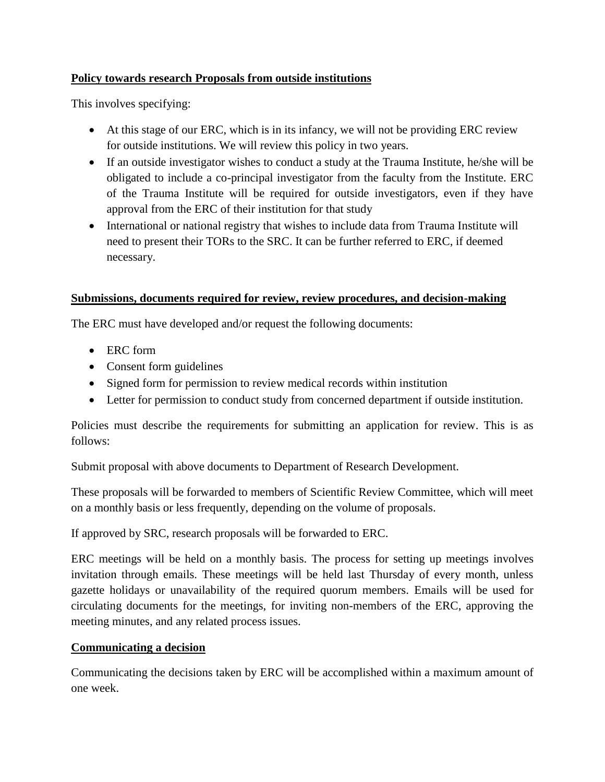## **Policy towards research Proposals from outside institutions**

This involves specifying:

- At this stage of our ERC, which is in its infancy, we will not be providing ERC review for outside institutions. We will review this policy in two years.
- If an outside investigator wishes to conduct a study at the Trauma Institute, he/she will be obligated to include a co-principal investigator from the faculty from the Institute. ERC of the Trauma Institute will be required for outside investigators, even if they have approval from the ERC of their institution for that study
- International or national registry that wishes to include data from Trauma Institute will need to present their TORs to the SRC. It can be further referred to ERC, if deemed necessary.

## **Submissions, documents required for review, review procedures, and decision-making**

The ERC must have developed and/or request the following documents:

- ERC form
- Consent form guidelines
- Signed form for permission to review medical records within institution
- Letter for permission to conduct study from concerned department if outside institution.

Policies must describe the requirements for submitting an application for review. This is as follows:

Submit proposal with above documents to Department of Research Development.

These proposals will be forwarded to members of Scientific Review Committee, which will meet on a monthly basis or less frequently, depending on the volume of proposals.

If approved by SRC, research proposals will be forwarded to ERC.

ERC meetings will be held on a monthly basis. The process for setting up meetings involves invitation through emails. These meetings will be held last Thursday of every month, unless gazette holidays or unavailability of the required quorum members. Emails will be used for circulating documents for the meetings, for inviting non-members of the ERC, approving the meeting minutes, and any related process issues.

# **Communicating a decision**

Communicating the decisions taken by ERC will be accomplished within a maximum amount of one week.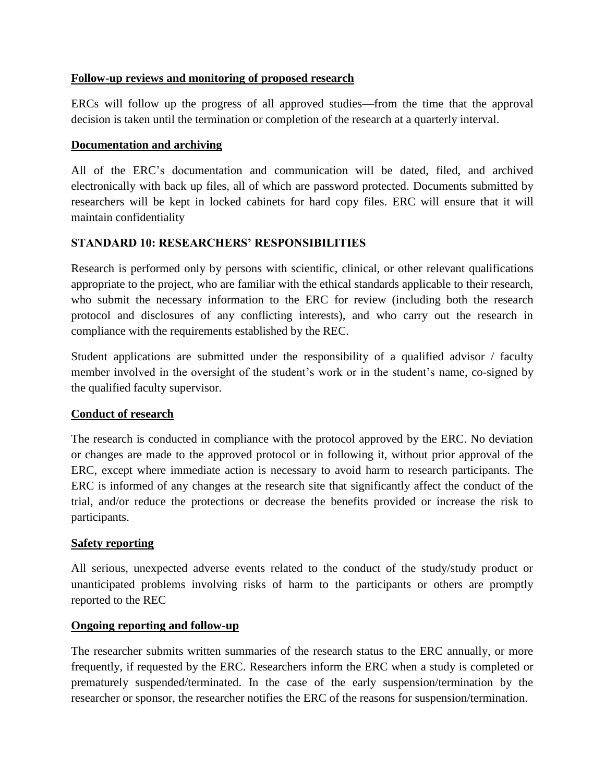## **Follow-up reviews and monitoring of proposed research**

ERCs will follow up the progress of all approved studies—from the time that the approval decision is taken until the termination or completion of the research at a quarterly interval.

#### **Documentation and archiving**

All of the ERC's documentation and communication will be dated, filed, and archived electronically with back up files, all of which are password protected. Documents submitted by researchers will be kept in locked cabinets for hard copy files. ERC will ensure that it will maintain confidentiality

## **STANDARD 10: RESEARCHERS' RESPONSIBILITIES**

Research is performed only by persons with scientific, clinical, or other relevant qualifications appropriate to the project, who are familiar with the ethical standards applicable to their research, who submit the necessary information to the ERC for review (including both the research protocol and disclosures of any conflicting interests), and who carry out the research in compliance with the requirements established by the REC.

Student applications are submitted under the responsibility of a qualified advisor / faculty member involved in the oversight of the student's work or in the student's name, co-signed by the qualified faculty supervisor.

#### **Conduct of research**

The research is conducted in compliance with the protocol approved by the ERC. No deviation or changes are made to the approved protocol or in following it, without prior approval of the ERC, except where immediate action is necessary to avoid harm to research participants. The ERC is informed of any changes at the research site that significantly affect the conduct of the trial, and/or reduce the protections or decrease the benefits provided or increase the risk to participants.

#### **Safety reporting**

All serious, unexpected adverse events related to the conduct of the study/study product or unanticipated problems involving risks of harm to the participants or others are promptly reported to the REC

#### **Ongoing reporting and follow-up**

The researcher submits written summaries of the research status to the ERC annually, or more frequently, if requested by the ERC. Researchers inform the ERC when a study is completed or prematurely suspended/terminated. In the case of the early suspension/termination by the researcher or sponsor, the researcher notifies the ERC of the reasons for suspension/termination.